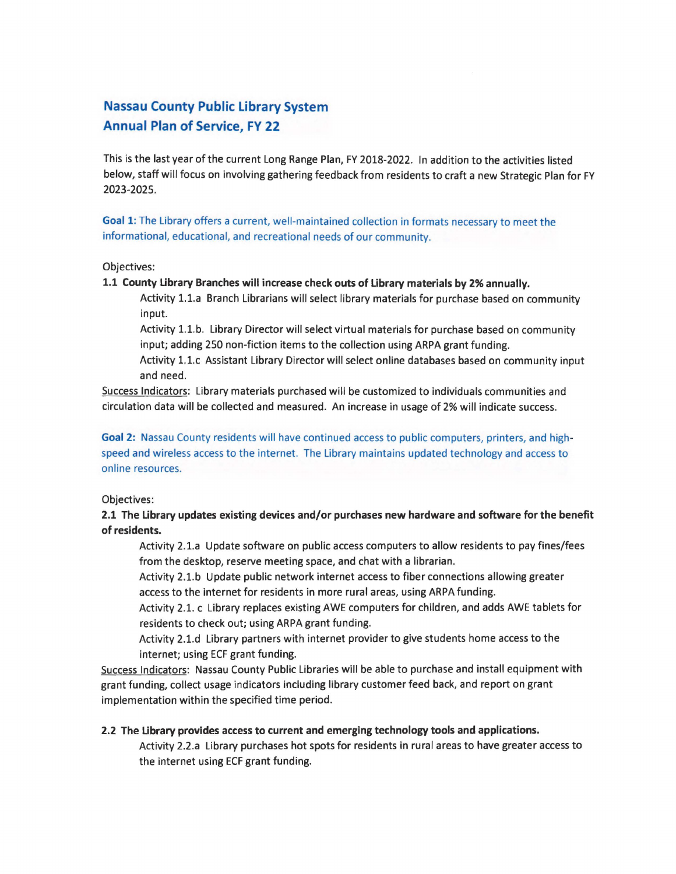# **Nassau County Public Library System Annual Plan of Service, FY 22**

This is the last year of the current Long Range Plan, FY 2018-2022. In addition to the activities listed below, staff will focus on involving gathering feedback from residents to craft a new Strategic Plan for FY 2023-2025.

**Goal 1:** The Library offers a current, well-maintained collection in formats necessary to meet the informational, educational, and recreational needs of our community.

## Objectives:

## **1.1 County Library Branches will increase check outs of Library materials by 2% annually.**

Activity 1.1.a Branch Librarians will select library materials for purchase based on community input.

Activity 1.1.b. Library Director will select virtual materials for purchase based on community input; adding 250 non-fiction items to the collection using ARPA grant funding.

Activity 1.1.c Assistant Library Director will select on line databases based on community input and need.

Success Indicators: Library materials purchased will be customized to individuals communities and circulation data will be collected and measured. An increase in usage of 2% will indicate success.

## **Goal 2:** Nassau County residents will have continued access to public computers, printers, and highspeed and wireless access to the internet. The Library maintains updated technology and access to online resources.

## Objectives:

## **2.1 The Library updates existing devices and/or purchases new hardware and software for the benefit of residents.**

Activity 2.1.a Update software on public access computers to allow residents to pay fines/fees from the desktop, reserve meeting space, and chat with a librarian.

Activity 2.1.b Update public network internet access to fiber connections allowing greater access to the internet for residents in more rural areas, using ARPA funding.

Activity 2.1. c Library replaces existing AWE computers for children, and adds AWE tablets for residents to check out; using ARPA grant funding.

Activity 2.1.d Library partners with internet provider to give students home access to the internet; using ECF grant funding.

Success Indicators: Nassau County Public Libraries will be able to purchase and install equipment with grant funding, collect usage indicators including library customer feed back, and report on grant implementation within the specified time period.

## **2.2 The Library provides access to current and emerging technology tools and applications.**

Activity 2.2.a Library purchases hot spots for residents in rural areas to have greater access to the internet using ECF grant funding.